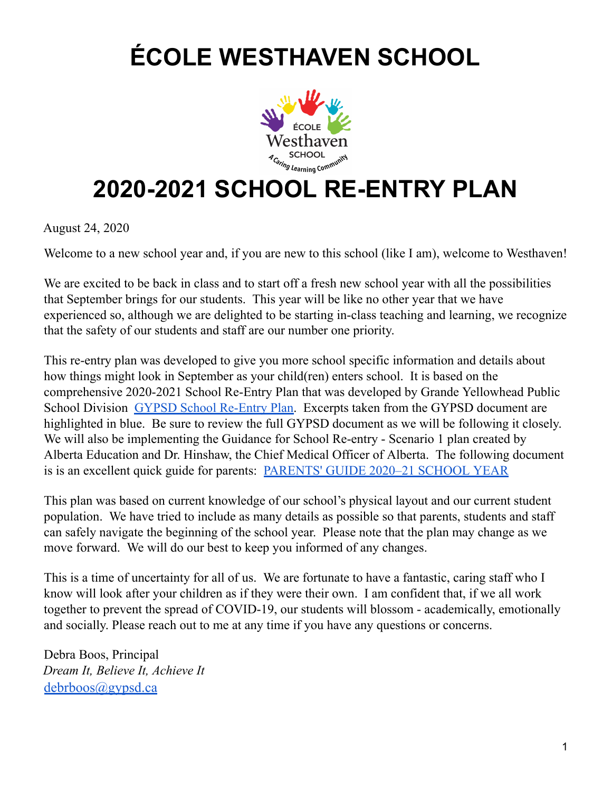## **ÉCOLE WESTHAVEN SCHOOL**



## **2020-2021 SCHOOL RE-ENTRY PLAN**

August 24, 2020

Welcome to a new school year and, if you are new to this school (like I am), welcome to Westhaven!

We are excited to be back in class and to start off a fresh new school year with all the possibilities that September brings for our students. This year will be like no other year that we have experienced so, although we are delighted to be starting in-class teaching and learning, we recognize that the safety of our students and staff are our number one priority.

This re-entry plan was developed to give you more school specific information and details about how things might look in September as your child(ren) enters school. It is based on the comprehensive 2020-2021 School Re-Entry Plan that was developed by Grande Yellowhead Public School Division GYPSD School [Re-Entry](https://gypsd.ca/learning-home/covid-19-information-releases/gypsd-2020-21-re-entry) Plan. Excerpts taken from the GYPSD document are highlighted in blue. Be sure to review the full GYPSD document as we will be following it closely. We will also be implementing the Guidance for School Re-entry - Scenario 1 plan created by Alberta Education and Dr. Hinshaw, the Chief Medical Officer of Alberta. The following document is is an excellent quick guide for parents: [PARENTS'](https://open.alberta.ca/dataset/ee687c03-af4e-4e08-9a5c-2b913ebdf31b/resource/b843cc75-d224-4cb3-b9b6-5e6eebad7bbb/download/edc-covid-parents-guide-2020-21-school-year.pdf) GUIDE 2020–21 SCHOOL YEAR

This plan was based on current knowledge of our school's physical layout and our current student population. We have tried to include as many details as possible so that parents, students and staff can safely navigate the beginning of the school year. Please note that the plan may change as we move forward. We will do our best to keep you informed of any changes.

This is a time of uncertainty for all of us. We are fortunate to have a fantastic, caring staff who I know will look after your children as if they were their own. I am confident that, if we all work together to prevent the spread of COVID-19, our students will blossom - academically, emotionally and socially. Please reach out to me at any time if you have any questions or concerns.

Debra Boos, Principal *Dream It, Believe It, Achieve It* [debrboos@gypsd.ca](mailto:debrboos@gypsd.ca)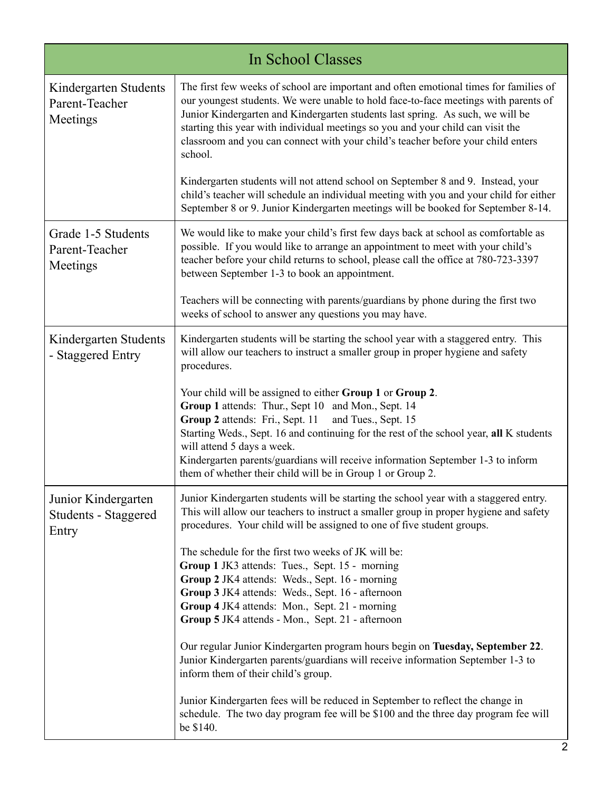| In School Classes                                    |                                                                                                                                                                                                                                                                                                                                                                                                                                                     |
|------------------------------------------------------|-----------------------------------------------------------------------------------------------------------------------------------------------------------------------------------------------------------------------------------------------------------------------------------------------------------------------------------------------------------------------------------------------------------------------------------------------------|
| Kindergarten Students<br>Parent-Teacher<br>Meetings  | The first few weeks of school are important and often emotional times for families of<br>our youngest students. We were unable to hold face-to-face meetings with parents of<br>Junior Kindergarten and Kindergarten students last spring. As such, we will be<br>starting this year with individual meetings so you and your child can visit the<br>classroom and you can connect with your child's teacher before your child enters<br>school.    |
|                                                      | Kindergarten students will not attend school on September 8 and 9. Instead, your<br>child's teacher will schedule an individual meeting with you and your child for either<br>September 8 or 9. Junior Kindergarten meetings will be booked for September 8-14.                                                                                                                                                                                     |
| Grade 1-5 Students<br>Parent-Teacher<br>Meetings     | We would like to make your child's first few days back at school as comfortable as<br>possible. If you would like to arrange an appointment to meet with your child's<br>teacher before your child returns to school, please call the office at 780-723-3397<br>between September 1-3 to book an appointment.                                                                                                                                       |
|                                                      | Teachers will be connecting with parents/guardians by phone during the first two<br>weeks of school to answer any questions you may have.                                                                                                                                                                                                                                                                                                           |
| Kindergarten Students<br>- Staggered Entry           | Kindergarten students will be starting the school year with a staggered entry. This<br>will allow our teachers to instruct a smaller group in proper hygiene and safety<br>procedures.                                                                                                                                                                                                                                                              |
|                                                      | Your child will be assigned to either Group 1 or Group 2.<br>Group 1 attends: Thur., Sept 10 and Mon., Sept. 14<br>Group 2 attends: Fri., Sept. 11<br>and Tues., Sept. 15<br>Starting Weds., Sept. 16 and continuing for the rest of the school year, all K students<br>will attend 5 days a week.<br>Kindergarten parents/guardians will receive information September 1-3 to inform<br>them of whether their child will be in Group 1 or Group 2. |
| Junior Kindergarten<br>Students - Staggered<br>Entry | Junior Kindergarten students will be starting the school year with a staggered entry.<br>This will allow our teachers to instruct a smaller group in proper hygiene and safety<br>procedures. Your child will be assigned to one of five student groups.                                                                                                                                                                                            |
|                                                      | The schedule for the first two weeks of JK will be:<br>Group 1 JK3 attends: Tues., Sept. 15 - morning<br>Group 2 JK4 attends: Weds., Sept. 16 - morning<br>Group 3 JK4 attends: Weds., Sept. 16 - afternoon<br>Group 4 JK4 attends: Mon., Sept. 21 - morning<br>Group 5 JK4 attends - Mon., Sept. 21 - afternoon                                                                                                                                    |
|                                                      | Our regular Junior Kindergarten program hours begin on Tuesday, September 22.<br>Junior Kindergarten parents/guardians will receive information September 1-3 to<br>inform them of their child's group.                                                                                                                                                                                                                                             |
|                                                      | Junior Kindergarten fees will be reduced in September to reflect the change in<br>schedule. The two day program fee will be \$100 and the three day program fee will<br>be \$140.                                                                                                                                                                                                                                                                   |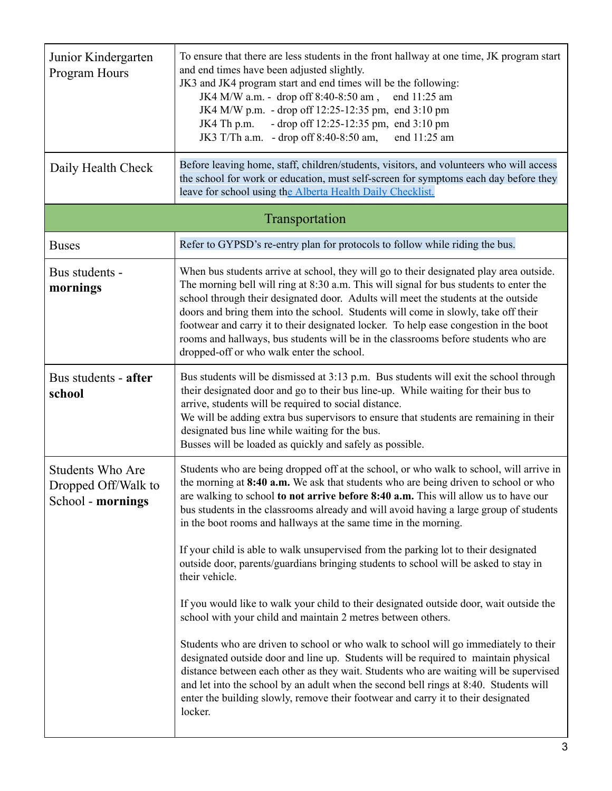| Junior Kindergarten<br>Program Hours<br>Daily Health Check          | To ensure that there are less students in the front hallway at one time, JK program start<br>and end times have been adjusted slightly.<br>JK3 and JK4 program start and end times will be the following:<br>JK4 M/W a.m. - drop off 8:40-8:50 am,<br>end 11:25 am<br>JK4 M/W p.m. - drop off 12:25-12:35 pm, end 3:10 pm<br>- drop off 12:25-12:35 pm, end 3:10 pm<br>JK4 Th p.m.<br>JK3 T/Th a.m. - drop off $8:40-8:50$ am,<br>end 11:25 am<br>Before leaving home, staff, children/students, visitors, and volunteers who will access<br>the school for work or education, must self-screen for symptoms each day before they<br>leave for school using the Alberta Health Daily Checklist.                                                                                                                                                                                                                                                                                                                                                                                                                                                                                                                                                                 |
|---------------------------------------------------------------------|-----------------------------------------------------------------------------------------------------------------------------------------------------------------------------------------------------------------------------------------------------------------------------------------------------------------------------------------------------------------------------------------------------------------------------------------------------------------------------------------------------------------------------------------------------------------------------------------------------------------------------------------------------------------------------------------------------------------------------------------------------------------------------------------------------------------------------------------------------------------------------------------------------------------------------------------------------------------------------------------------------------------------------------------------------------------------------------------------------------------------------------------------------------------------------------------------------------------------------------------------------------------|
|                                                                     | Transportation                                                                                                                                                                                                                                                                                                                                                                                                                                                                                                                                                                                                                                                                                                                                                                                                                                                                                                                                                                                                                                                                                                                                                                                                                                                  |
| <b>Buses</b>                                                        | Refer to GYPSD's re-entry plan for protocols to follow while riding the bus.                                                                                                                                                                                                                                                                                                                                                                                                                                                                                                                                                                                                                                                                                                                                                                                                                                                                                                                                                                                                                                                                                                                                                                                    |
| Bus students -<br>mornings                                          | When bus students arrive at school, they will go to their designated play area outside.<br>The morning bell will ring at 8:30 a.m. This will signal for bus students to enter the<br>school through their designated door. Adults will meet the students at the outside<br>doors and bring them into the school. Students will come in slowly, take off their<br>footwear and carry it to their designated locker. To help ease congestion in the boot<br>rooms and hallways, bus students will be in the classrooms before students who are<br>dropped-off or who walk enter the school.                                                                                                                                                                                                                                                                                                                                                                                                                                                                                                                                                                                                                                                                       |
| Bus students - after<br>school                                      | Bus students will be dismissed at 3:13 p.m. Bus students will exit the school through<br>their designated door and go to their bus line-up. While waiting for their bus to<br>arrive, students will be required to social distance.<br>We will be adding extra bus supervisors to ensure that students are remaining in their<br>designated bus line while waiting for the bus.<br>Busses will be loaded as quickly and safely as possible.                                                                                                                                                                                                                                                                                                                                                                                                                                                                                                                                                                                                                                                                                                                                                                                                                     |
| <b>Students Who Are</b><br>Dropped Off/Walk to<br>School - mornings | Students who are being dropped off at the school, or who walk to school, will arrive in<br>the morning at 8:40 a.m. We ask that students who are being driven to school or who<br>are walking to school to not arrive before 8:40 a.m. This will allow us to have our<br>bus students in the classrooms already and will avoid having a large group of students<br>in the boot rooms and hallways at the same time in the morning.<br>If your child is able to walk unsupervised from the parking lot to their designated<br>outside door, parents/guardians bringing students to school will be asked to stay in<br>their vehicle.<br>If you would like to walk your child to their designated outside door, wait outside the<br>school with your child and maintain 2 metres between others.<br>Students who are driven to school or who walk to school will go immediately to their<br>designated outside door and line up. Students will be required to maintain physical<br>distance between each other as they wait. Students who are waiting will be supervised<br>and let into the school by an adult when the second bell rings at 8:40. Students will<br>enter the building slowly, remove their footwear and carry it to their designated<br>locker. |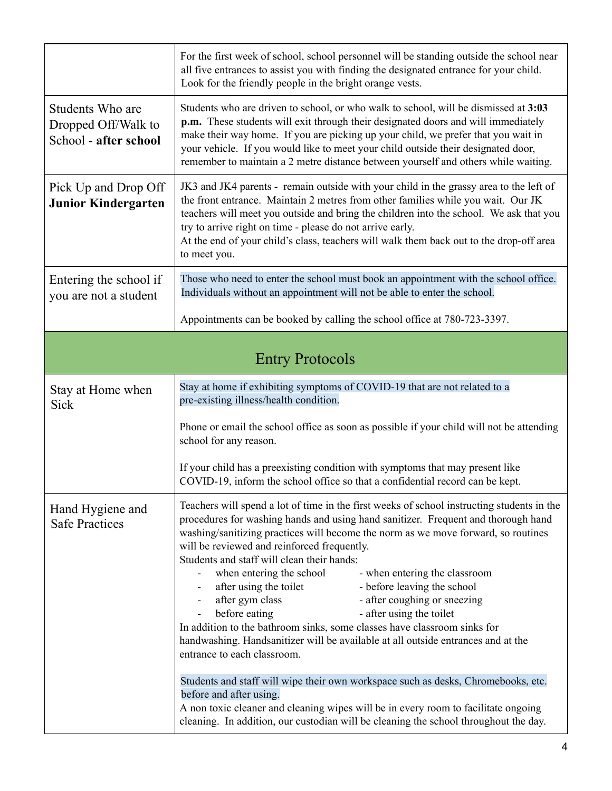|                                                                  | For the first week of school, school personnel will be standing outside the school near<br>all five entrances to assist you with finding the designated entrance for your child.<br>Look for the friendly people in the bright orange vests.                                                                                                                                                                                                                                                                                                                                                                                                                                                                                                                                                                                                                                |  |
|------------------------------------------------------------------|-----------------------------------------------------------------------------------------------------------------------------------------------------------------------------------------------------------------------------------------------------------------------------------------------------------------------------------------------------------------------------------------------------------------------------------------------------------------------------------------------------------------------------------------------------------------------------------------------------------------------------------------------------------------------------------------------------------------------------------------------------------------------------------------------------------------------------------------------------------------------------|--|
| Students Who are<br>Dropped Off/Walk to<br>School - after school | Students who are driven to school, or who walk to school, will be dismissed at 3:03<br>p.m. These students will exit through their designated doors and will immediately<br>make their way home. If you are picking up your child, we prefer that you wait in<br>your vehicle. If you would like to meet your child outside their designated door,<br>remember to maintain a 2 metre distance between yourself and others while waiting.                                                                                                                                                                                                                                                                                                                                                                                                                                    |  |
| Pick Up and Drop Off<br><b>Junior Kindergarten</b>               | JK3 and JK4 parents - remain outside with your child in the grassy area to the left of<br>the front entrance. Maintain 2 metres from other families while you wait. Our JK<br>teachers will meet you outside and bring the children into the school. We ask that you<br>try to arrive right on time - please do not arrive early.<br>At the end of your child's class, teachers will walk them back out to the drop-off area<br>to meet you.                                                                                                                                                                                                                                                                                                                                                                                                                                |  |
| Entering the school if<br>you are not a student                  | Those who need to enter the school must book an appointment with the school office.<br>Individuals without an appointment will not be able to enter the school.                                                                                                                                                                                                                                                                                                                                                                                                                                                                                                                                                                                                                                                                                                             |  |
|                                                                  | Appointments can be booked by calling the school office at 780-723-3397.                                                                                                                                                                                                                                                                                                                                                                                                                                                                                                                                                                                                                                                                                                                                                                                                    |  |
| <b>Entry Protocols</b>                                           |                                                                                                                                                                                                                                                                                                                                                                                                                                                                                                                                                                                                                                                                                                                                                                                                                                                                             |  |
| Stay at Home when<br>Sick                                        | Stay at home if exhibiting symptoms of COVID-19 that are not related to a<br>pre-existing illness/health condition.                                                                                                                                                                                                                                                                                                                                                                                                                                                                                                                                                                                                                                                                                                                                                         |  |
|                                                                  | Phone or email the school office as soon as possible if your child will not be attending<br>school for any reason.                                                                                                                                                                                                                                                                                                                                                                                                                                                                                                                                                                                                                                                                                                                                                          |  |
|                                                                  | If your child has a preexisting condition with symptoms that may present like<br>COVID-19, inform the school office so that a confidential record can be kept.                                                                                                                                                                                                                                                                                                                                                                                                                                                                                                                                                                                                                                                                                                              |  |
| Hand Hygiene and<br><b>Safe Practices</b>                        | Teachers will spend a lot of time in the first weeks of school instructing students in the<br>procedures for washing hands and using hand sanitizer. Frequent and thorough hand<br>washing/sanitizing practices will become the norm as we move forward, so routines<br>will be reviewed and reinforced frequently.<br>Students and staff will clean their hands:<br>when entering the school<br>- when entering the classroom<br>after using the toilet<br>- before leaving the school<br>after gym class<br>- after coughing or sneezing<br>before eating<br>- after using the toilet<br>In addition to the bathroom sinks, some classes have classroom sinks for<br>handwashing. Handsanitizer will be available at all outside entrances and at the<br>entrance to each classroom.<br>Students and staff will wipe their own workspace such as desks, Chromebooks, etc. |  |
|                                                                  | before and after using.<br>A non toxic cleaner and cleaning wipes will be in every room to facilitate ongoing<br>cleaning. In addition, our custodian will be cleaning the school throughout the day.                                                                                                                                                                                                                                                                                                                                                                                                                                                                                                                                                                                                                                                                       |  |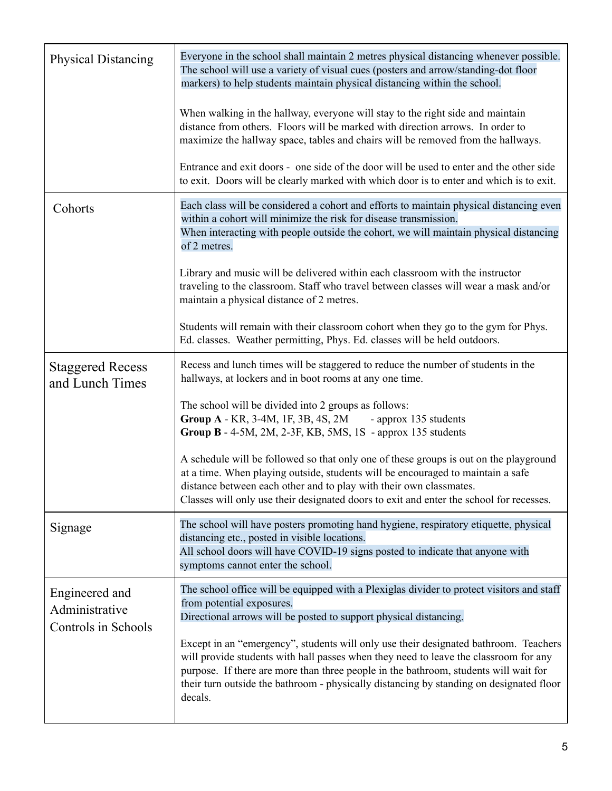| <b>Physical Distancing</b>                              | Everyone in the school shall maintain 2 metres physical distancing whenever possible.<br>The school will use a variety of visual cues (posters and arrow/standing-dot floor<br>markers) to help students maintain physical distancing within the school.                                                                                                                   |
|---------------------------------------------------------|----------------------------------------------------------------------------------------------------------------------------------------------------------------------------------------------------------------------------------------------------------------------------------------------------------------------------------------------------------------------------|
|                                                         | When walking in the hallway, everyone will stay to the right side and maintain<br>distance from others. Floors will be marked with direction arrows. In order to<br>maximize the hallway space, tables and chairs will be removed from the hallways.                                                                                                                       |
|                                                         | Entrance and exit doors - one side of the door will be used to enter and the other side<br>to exit. Doors will be clearly marked with which door is to enter and which is to exit.                                                                                                                                                                                         |
| Cohorts                                                 | Each class will be considered a cohort and efforts to maintain physical distancing even<br>within a cohort will minimize the risk for disease transmission.<br>When interacting with people outside the cohort, we will maintain physical distancing<br>of 2 metres.                                                                                                       |
|                                                         | Library and music will be delivered within each classroom with the instructor<br>traveling to the classroom. Staff who travel between classes will wear a mask and/or<br>maintain a physical distance of 2 metres.                                                                                                                                                         |
|                                                         | Students will remain with their classroom cohort when they go to the gym for Phys.<br>Ed. classes. Weather permitting, Phys. Ed. classes will be held outdoors.                                                                                                                                                                                                            |
| <b>Staggered Recess</b><br>and Lunch Times              | Recess and lunch times will be staggered to reduce the number of students in the<br>hallways, at lockers and in boot rooms at any one time.                                                                                                                                                                                                                                |
|                                                         | The school will be divided into 2 groups as follows:<br>Group A - KR, 3-4M, 1F, 3B, 4S, 2M<br>- approx 135 students<br>Group B - 4-5M, 2M, 2-3F, KB, 5MS, 1S - approx 135 students                                                                                                                                                                                         |
|                                                         | A schedule will be followed so that only one of these groups is out on the playground<br>at a time. When playing outside, students will be encouraged to maintain a safe<br>distance between each other and to play with their own classmates.<br>Classes will only use their designated doors to exit and enter the school for recesses.                                  |
| Signage                                                 | The school will have posters promoting hand hygiene, respiratory etiquette, physical<br>distancing etc., posted in visible locations.<br>All school doors will have COVID-19 signs posted to indicate that anyone with<br>symptoms cannot enter the school.                                                                                                                |
| Engineered and<br>Administrative<br>Controls in Schools | The school office will be equipped with a Plexiglas divider to protect visitors and staff<br>from potential exposures.<br>Directional arrows will be posted to support physical distancing.                                                                                                                                                                                |
|                                                         | Except in an "emergency", students will only use their designated bathroom. Teachers<br>will provide students with hall passes when they need to leave the classroom for any<br>purpose. If there are more than three people in the bathroom, students will wait for<br>their turn outside the bathroom - physically distancing by standing on designated floor<br>decals. |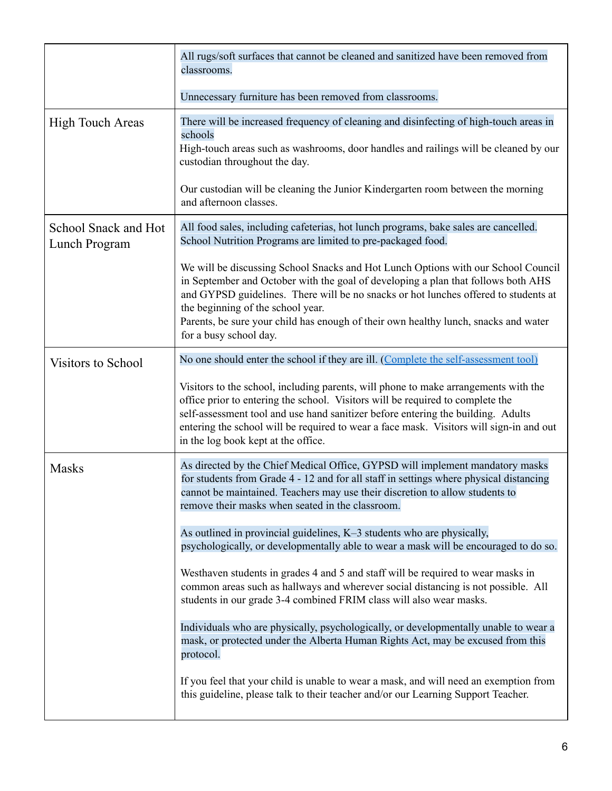|                                       | All rugs/soft surfaces that cannot be cleaned and sanitized have been removed from<br>classrooms.                                                                                                                                                                                                                                                                                                                   |
|---------------------------------------|---------------------------------------------------------------------------------------------------------------------------------------------------------------------------------------------------------------------------------------------------------------------------------------------------------------------------------------------------------------------------------------------------------------------|
|                                       | Unnecessary furniture has been removed from classrooms.                                                                                                                                                                                                                                                                                                                                                             |
| <b>High Touch Areas</b>               | There will be increased frequency of cleaning and disinfecting of high-touch areas in<br>schools<br>High-touch areas such as washrooms, door handles and railings will be cleaned by our<br>custodian throughout the day.                                                                                                                                                                                           |
|                                       | Our custodian will be cleaning the Junior Kindergarten room between the morning<br>and afternoon classes.                                                                                                                                                                                                                                                                                                           |
| School Snack and Hot<br>Lunch Program | All food sales, including cafeterias, hot lunch programs, bake sales are cancelled.<br>School Nutrition Programs are limited to pre-packaged food.                                                                                                                                                                                                                                                                  |
|                                       | We will be discussing School Snacks and Hot Lunch Options with our School Council<br>in September and October with the goal of developing a plan that follows both AHS<br>and GYPSD guidelines. There will be no snacks or hot lunches offered to students at<br>the beginning of the school year.<br>Parents, be sure your child has enough of their own healthy lunch, snacks and water<br>for a busy school day. |
| <b>Visitors to School</b>             | No one should enter the school if they are ill. (Complete the self-assessment tool)                                                                                                                                                                                                                                                                                                                                 |
|                                       | Visitors to the school, including parents, will phone to make arrangements with the<br>office prior to entering the school. Visitors will be required to complete the<br>self-assessment tool and use hand sanitizer before entering the building. Adults<br>entering the school will be required to wear a face mask. Visitors will sign-in and out<br>in the log book kept at the office.                         |
| <b>Masks</b>                          | As directed by the Chief Medical Office, GYPSD will implement mandatory masks<br>for students from Grade 4 - 12 and for all staff in settings where physical distancing<br>cannot be maintained. Teachers may use their discretion to allow students to<br>remove their masks when seated in the classroom.                                                                                                         |
|                                       | As outlined in provincial guidelines, $K-3$ students who are physically,<br>psychologically, or developmentally able to wear a mask will be encouraged to do so.                                                                                                                                                                                                                                                    |
|                                       | Westhaven students in grades 4 and 5 and staff will be required to wear masks in<br>common areas such as hallways and wherever social distancing is not possible. All<br>students in our grade 3-4 combined FRIM class will also wear masks.                                                                                                                                                                        |
|                                       | Individuals who are physically, psychologically, or developmentally unable to wear a<br>mask, or protected under the Alberta Human Rights Act, may be excused from this<br>protocol.                                                                                                                                                                                                                                |
|                                       | If you feel that your child is unable to wear a mask, and will need an exemption from<br>this guideline, please talk to their teacher and/or our Learning Support Teacher.                                                                                                                                                                                                                                          |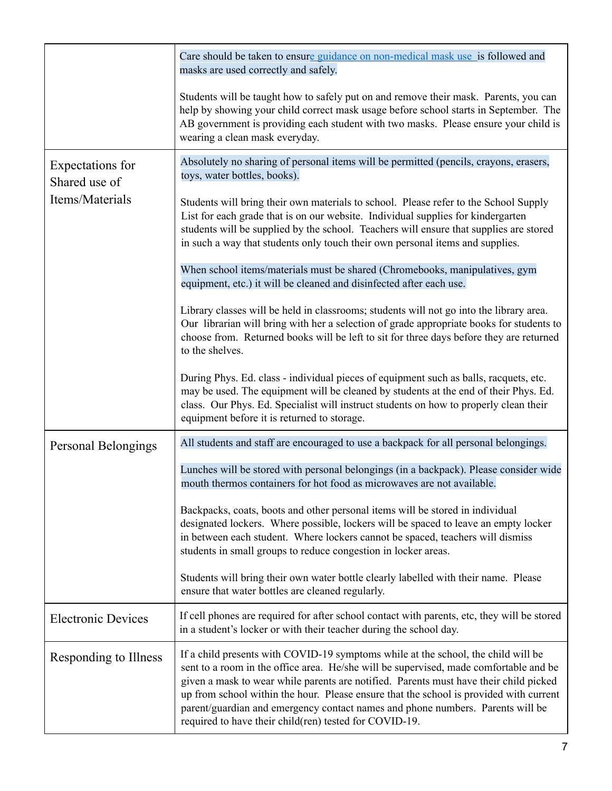|                                   | Care should be taken to ensure guidance on non-medical mask use is followed and<br>masks are used correctly and safely.                                                                                                                                                                                                                                                                                                                                                                                   |
|-----------------------------------|-----------------------------------------------------------------------------------------------------------------------------------------------------------------------------------------------------------------------------------------------------------------------------------------------------------------------------------------------------------------------------------------------------------------------------------------------------------------------------------------------------------|
|                                   | Students will be taught how to safely put on and remove their mask. Parents, you can<br>help by showing your child correct mask usage before school starts in September. The<br>AB government is providing each student with two masks. Please ensure your child is<br>wearing a clean mask everyday.                                                                                                                                                                                                     |
| Expectations for<br>Shared use of | Absolutely no sharing of personal items will be permitted (pencils, crayons, erasers,<br>toys, water bottles, books).                                                                                                                                                                                                                                                                                                                                                                                     |
| Items/Materials                   | Students will bring their own materials to school. Please refer to the School Supply<br>List for each grade that is on our website. Individual supplies for kindergarten<br>students will be supplied by the school. Teachers will ensure that supplies are stored<br>in such a way that students only touch their own personal items and supplies.                                                                                                                                                       |
|                                   | When school items/materials must be shared (Chromebooks, manipulatives, gym<br>equipment, etc.) it will be cleaned and disinfected after each use.                                                                                                                                                                                                                                                                                                                                                        |
|                                   | Library classes will be held in classrooms; students will not go into the library area.<br>Our librarian will bring with her a selection of grade appropriate books for students to<br>choose from. Returned books will be left to sit for three days before they are returned<br>to the shelves.                                                                                                                                                                                                         |
|                                   | During Phys. Ed. class - individual pieces of equipment such as balls, racquets, etc.<br>may be used. The equipment will be cleaned by students at the end of their Phys. Ed.<br>class. Our Phys. Ed. Specialist will instruct students on how to properly clean their<br>equipment before it is returned to storage.                                                                                                                                                                                     |
| Personal Belongings               | All students and staff are encouraged to use a backpack for all personal belongings.                                                                                                                                                                                                                                                                                                                                                                                                                      |
|                                   | Lunches will be stored with personal belongings (in a backpack). Please consider wide<br>mouth thermos containers for hot food as microwaves are not available.                                                                                                                                                                                                                                                                                                                                           |
|                                   | Backpacks, coats, boots and other personal items will be stored in individual<br>designated lockers. Where possible, lockers will be spaced to leave an empty locker<br>in between each student. Where lockers cannot be spaced, teachers will dismiss<br>students in small groups to reduce congestion in locker areas.                                                                                                                                                                                  |
|                                   | Students will bring their own water bottle clearly labelled with their name. Please<br>ensure that water bottles are cleaned regularly.                                                                                                                                                                                                                                                                                                                                                                   |
| <b>Electronic Devices</b>         | If cell phones are required for after school contact with parents, etc, they will be stored<br>in a student's locker or with their teacher during the school day.                                                                                                                                                                                                                                                                                                                                         |
| Responding to Illness             | If a child presents with COVID-19 symptoms while at the school, the child will be<br>sent to a room in the office area. He/she will be supervised, made comfortable and be<br>given a mask to wear while parents are notified. Parents must have their child picked<br>up from school within the hour. Please ensure that the school is provided with current<br>parent/guardian and emergency contact names and phone numbers. Parents will be<br>required to have their child(ren) tested for COVID-19. |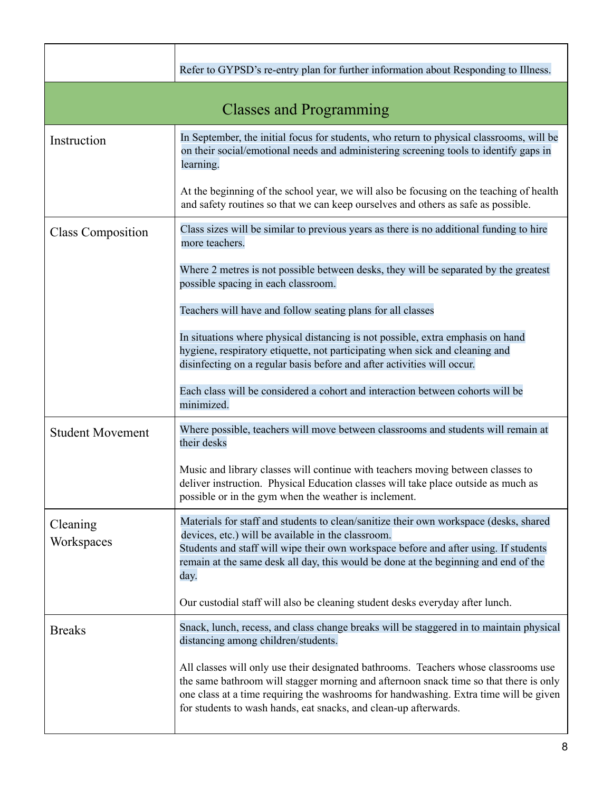|                                | Refer to GYPSD's re-entry plan for further information about Responding to Illness.                                                                                                                                                                                                                                                       |
|--------------------------------|-------------------------------------------------------------------------------------------------------------------------------------------------------------------------------------------------------------------------------------------------------------------------------------------------------------------------------------------|
| <b>Classes and Programming</b> |                                                                                                                                                                                                                                                                                                                                           |
| Instruction                    | In September, the initial focus for students, who return to physical classrooms, will be<br>on their social/emotional needs and administering screening tools to identify gaps in<br>learning.                                                                                                                                            |
|                                | At the beginning of the school year, we will also be focusing on the teaching of health<br>and safety routines so that we can keep ourselves and others as safe as possible.                                                                                                                                                              |
| <b>Class Composition</b>       | Class sizes will be similar to previous years as there is no additional funding to hire<br>more teachers.                                                                                                                                                                                                                                 |
|                                | Where 2 metres is not possible between desks, they will be separated by the greatest<br>possible spacing in each classroom.                                                                                                                                                                                                               |
|                                | Teachers will have and follow seating plans for all classes                                                                                                                                                                                                                                                                               |
|                                | In situations where physical distancing is not possible, extra emphasis on hand<br>hygiene, respiratory etiquette, not participating when sick and cleaning and<br>disinfecting on a regular basis before and after activities will occur.                                                                                                |
|                                | Each class will be considered a cohort and interaction between cohorts will be<br>minimized.                                                                                                                                                                                                                                              |
| <b>Student Movement</b>        | Where possible, teachers will move between classrooms and students will remain at<br>their desks                                                                                                                                                                                                                                          |
|                                | Music and library classes will continue with teachers moving between classes to<br>deliver instruction. Physical Education classes will take place outside as much as<br>possible or in the gym when the weather is inclement.                                                                                                            |
| Cleaning<br>Workspaces         | Materials for staff and students to clean/sanitize their own workspace (desks, shared<br>devices, etc.) will be available in the classroom.<br>Students and staff will wipe their own workspace before and after using. If students<br>remain at the same desk all day, this would be done at the beginning and end of the<br>day.        |
|                                | Our custodial staff will also be cleaning student desks everyday after lunch.                                                                                                                                                                                                                                                             |
| <b>Breaks</b>                  | Snack, lunch, recess, and class change breaks will be staggered in to maintain physical<br>distancing among children/students.                                                                                                                                                                                                            |
|                                | All classes will only use their designated bathrooms. Teachers whose classrooms use<br>the same bathroom will stagger morning and afternoon snack time so that there is only<br>one class at a time requiring the washrooms for handwashing. Extra time will be given<br>for students to wash hands, eat snacks, and clean-up afterwards. |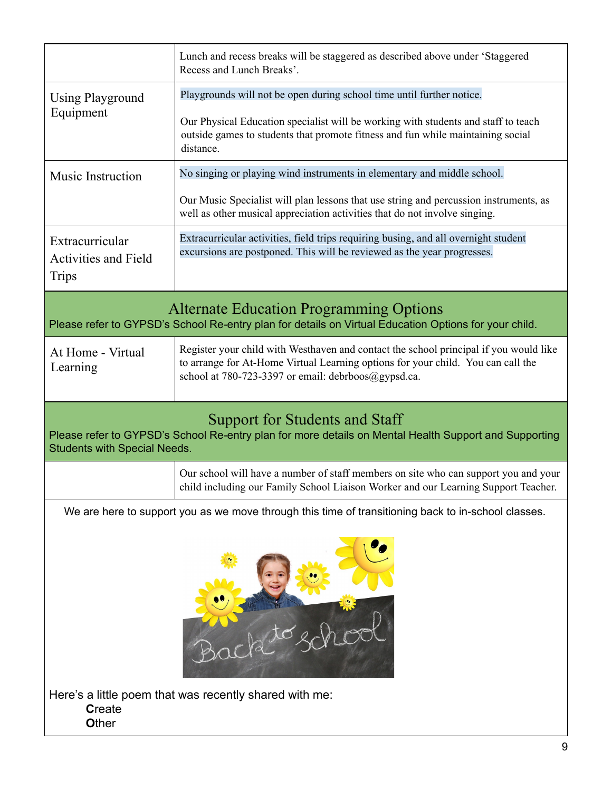|                                                                                                                                                                                | Lunch and recess breaks will be staggered as described above under 'Staggered<br>Recess and Lunch Breaks'.                                                                                                                       |  |
|--------------------------------------------------------------------------------------------------------------------------------------------------------------------------------|----------------------------------------------------------------------------------------------------------------------------------------------------------------------------------------------------------------------------------|--|
| Using Playground<br>Equipment                                                                                                                                                  | Playgrounds will not be open during school time until further notice.                                                                                                                                                            |  |
|                                                                                                                                                                                | Our Physical Education specialist will be working with students and staff to teach<br>outside games to students that promote fitness and fun while maintaining social<br>distance.                                               |  |
| Music Instruction                                                                                                                                                              | No singing or playing wind instruments in elementary and middle school.                                                                                                                                                          |  |
|                                                                                                                                                                                | Our Music Specialist will plan lessons that use string and percussion instruments, as<br>well as other musical appreciation activities that do not involve singing.                                                              |  |
| Extracurricular<br><b>Activities and Field</b><br><b>Trips</b>                                                                                                                 | Extracurricular activities, field trips requiring busing, and all overnight student<br>excursions are postponed. This will be reviewed as the year progresses.                                                                   |  |
| <b>Alternate Education Programming Options</b><br>Please refer to GYPSD's School Re-entry plan for details on Virtual Education Options for your child.                        |                                                                                                                                                                                                                                  |  |
| At Home - Virtual<br>Learning                                                                                                                                                  | Register your child with Westhaven and contact the school principal if you would like<br>to arrange for At-Home Virtual Learning options for your child. You can call the<br>school at 780-723-3397 or email: debrboos@gypsd.ca. |  |
| Support for Students and Staff<br>Please refer to GYPSD's School Re-entry plan for more details on Mental Health Support and Supporting<br><b>Students with Special Needs.</b> |                                                                                                                                                                                                                                  |  |
|                                                                                                                                                                                | Our school will have a number of staff members on site who can support you and your<br>child including our Family School Liaison Worker and our Learning Support Teacher.                                                        |  |
| We are here to support you as we move through this time of transitioning back to in-school classes.                                                                            |                                                                                                                                                                                                                                  |  |
|                                                                                                                                                                                |                                                                                                                                                                                                                                  |  |
| <b>Create</b><br>Other                                                                                                                                                         | Here's a little poem that was recently shared with me:                                                                                                                                                                           |  |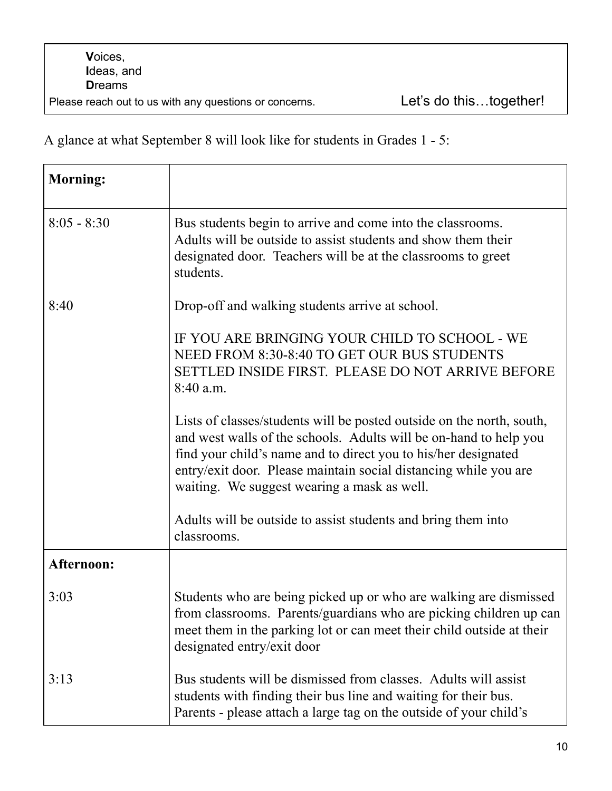A glance at what September 8 will look like for students in Grades 1 - 5:

| <b>Morning:</b> |                                                                                                                                                                                                                                                                                                                                 |
|-----------------|---------------------------------------------------------------------------------------------------------------------------------------------------------------------------------------------------------------------------------------------------------------------------------------------------------------------------------|
| $8:05 - 8:30$   | Bus students begin to arrive and come into the classrooms.<br>Adults will be outside to assist students and show them their<br>designated door. Teachers will be at the classrooms to greet<br>students.                                                                                                                        |
| 8:40            | Drop-off and walking students arrive at school.                                                                                                                                                                                                                                                                                 |
|                 | IF YOU ARE BRINGING YOUR CHILD TO SCHOOL - WE<br>NEED FROM 8:30-8:40 TO GET OUR BUS STUDENTS<br>SETTLED INSIDE FIRST. PLEASE DO NOT ARRIVE BEFORE<br>8:40 a.m.                                                                                                                                                                  |
|                 | Lists of classes/students will be posted outside on the north, south,<br>and west walls of the schools. Adults will be on-hand to help you<br>find your child's name and to direct you to his/her designated<br>entry/exit door. Please maintain social distancing while you are<br>waiting. We suggest wearing a mask as well. |
|                 | Adults will be outside to assist students and bring them into<br>classrooms.                                                                                                                                                                                                                                                    |
| Afternoon:      |                                                                                                                                                                                                                                                                                                                                 |
| 3:03            | Students who are being picked up or who are walking are dismissed<br>from classrooms. Parents/guardians who are picking children up can<br>meet them in the parking lot or can meet their child outside at their<br>designated entry/exit door                                                                                  |
| 3:13            | Bus students will be dismissed from classes. Adults will assist<br>students with finding their bus line and waiting for their bus.<br>Parents - please attach a large tag on the outside of your child's                                                                                                                        |